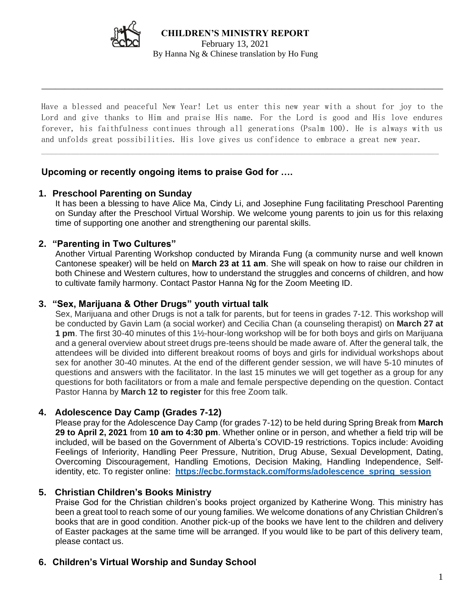

 $\overline{\phantom{a}}$  ,  $\overline{\phantom{a}}$  ,  $\overline{\phantom{a}}$  ,  $\overline{\phantom{a}}$  ,  $\overline{\phantom{a}}$  ,  $\overline{\phantom{a}}$  ,  $\overline{\phantom{a}}$  ,  $\overline{\phantom{a}}$  ,  $\overline{\phantom{a}}$  ,  $\overline{\phantom{a}}$  ,  $\overline{\phantom{a}}$  ,  $\overline{\phantom{a}}$  ,  $\overline{\phantom{a}}$  ,  $\overline{\phantom{a}}$  ,  $\overline{\phantom{a}}$  ,  $\overline{\phantom{a}}$ 

Have a blessed and peaceful New Year! Let us enter this new year with a shout for joy to the Lord and give thanks to Him and praise His name. For the Lord is good and His love endures forever, his faithfulness continues through all generations (Psalm 100). He is always with us and unfolds great possibilities. His love gives us confidence to embrace a great new year.

 $\_$ 

## **Upcoming or recently ongoing items to praise God for ….**

### **1. Preschool Parenting on Sunday**

It has been a blessing to have Alice Ma, Cindy Li, and Josephine Fung facilitating Preschool Parenting on Sunday after the Preschool Virtual Worship. We welcome young parents to join us for this relaxing time of supporting one another and strengthening our parental skills.

### **2. "Parenting in Two Cultures"**

Another Virtual Parenting Workshop conducted by Miranda Fung (a community nurse and well known Cantonese speaker) will be held on **March 23 at 11 am**. She will speak on how to raise our children in both Chinese and Western cultures, how to understand the struggles and concerns of children, and how to cultivate family harmony. Contact Pastor Hanna Ng for the Zoom Meeting ID.

#### **3. "Sex, Marijuana & Other Drugs" youth virtual talk**

Sex, Marijuana and other Drugs is not a talk for parents, but for teens in grades 7-12. This workshop will be conducted by Gavin Lam (a social worker) and Cecilia Chan (a counseling therapist) on **March 27 at 1 pm**. The first 30-40 minutes of this 1½-hour-long workshop will be for both boys and girls on Marijuana and a general overview about street drugs pre-teens should be made aware of. After the general talk, the attendees will be divided into different breakout rooms of boys and girls for individual workshops about sex for another 30-40 minutes. At the end of the different gender session, we will have 5-10 minutes of questions and answers with the facilitator. In the last 15 minutes we will get together as a group for any questions for both facilitators or from a male and female perspective depending on the question. Contact Pastor Hanna by **March 12 to register** for this free Zoom talk.

### **4. Adolescence Day Camp (Grades 7-12)**

Please pray for the Adolescence Day Camp (for grades 7-12) to be held during Spring Break from **March 29 to April 2, 2021** from **10 am to 4:30 pm**. Whether online or in person, and whether a field trip will be included, will be based on the Government of Alberta's COVID-19 restrictions. Topics include: Avoiding Feelings of Inferiority, Handling Peer Pressure, Nutrition, Drug Abuse, Sexual Development, Dating, Overcoming Discouragement, Handling Emotions, Decision Making, Handling Independence, Selfidentity, etc. To register online: **https://ecbc.formstack.com/forms/adolescence\_spring\_session**

### **5. Christian Children's Books Ministry**

Praise God for the Christian children's books project organized by Katherine Wong. This ministry has been a great tool to reach some of our young families. We welcome donations of any Christian Children's books that are in good condition. Another pick-up of the books we have lent to the children and delivery of Easter packages at the same time will be arranged. If you would like to be part of this delivery team, please contact us.

### **6. Children's Virtual Worship and Sunday School**